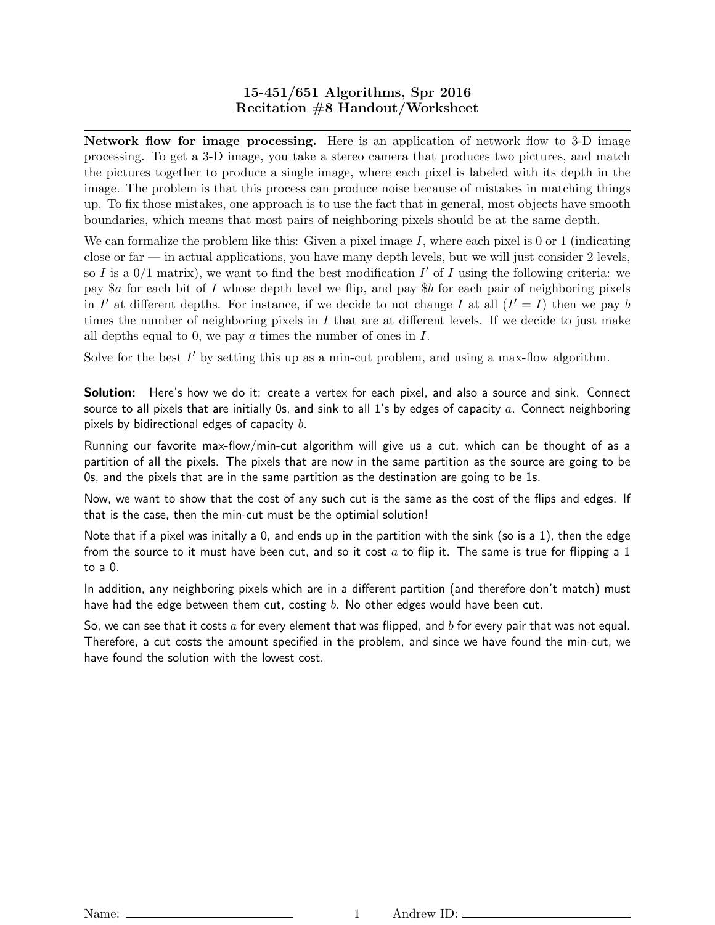## 15-451/651 Algorithms, Spr 2016 Recitation #8 Handout/Worksheet

Network flow for image processing. Here is an application of network flow to 3-D image processing. To get a 3-D image, you take a stereo camera that produces two pictures, and match the pictures together to produce a single image, where each pixel is labeled with its depth in the image. The problem is that this process can produce noise because of mistakes in matching things up. To fix those mistakes, one approach is to use the fact that in general, most objects have smooth boundaries, which means that most pairs of neighboring pixels should be at the same depth.

We can formalize the problem like this: Given a pixel image  $I$ , where each pixel is 0 or 1 (indicating close or far — in actual applications, you have many depth levels, but we will just consider  $2$  levels, so I is a  $0/1$  matrix), we want to find the best modification I' of I using the following criteria: we pay \$a for each bit of I whose depth level we flip, and pay \$b for each pair of neighboring pixels in I' at different depths. For instance, if we decide to not change I at all  $(I' = I)$  then we pay b times the number of neighboring pixels in  $I$  that are at different levels. If we decide to just make all depths equal to 0, we pay  $\alpha$  times the number of ones in  $I$ .

Solve for the best  $I'$  by setting this up as a min-cut problem, and using a max-flow algorithm.

**Solution:** Here's how we do it: create a vertex for each pixel, and also a source and sink. Connect source to all pixels that are initially 0s, and sink to all 1's by edges of capacity  $a$ . Connect neighboring pixels by bidirectional edges of capacity  $b$ .

Running our favorite max-flow/min-cut algorithm will give us a cut, which can be thought of as a partition of all the pixels. The pixels that are now in the same partition as the source are going to be 0s, and the pixels that are in the same partition as the destination are going to be 1s.

Now, we want to show that the cost of any such cut is the same as the cost of the flips and edges. If that is the case, then the min-cut must be the optimial solution!

Note that if a pixel was initally a 0, and ends up in the partition with the sink (so is a 1), then the edge from the source to it must have been cut, and so it cost  $a$  to flip it. The same is true for flipping a 1 to a 0.

In addition, any neighboring pixels which are in a different partition (and therefore don't match) must have had the edge between them cut, costing  $b$ . No other edges would have been cut.

So, we can see that it costs a for every element that was flipped, and b for every pair that was not equal. Therefore, a cut costs the amount specified in the problem, and since we have found the min-cut, we have found the solution with the lowest cost.

Name: 1 Andrew ID: